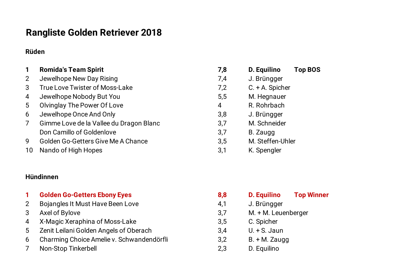# **Rangliste Golden Retriever 2018**

### **Rüden**

| $\mathbf 1$    | <b>Romida's Team Spirit</b>               | 7,8            | D. Equilino<br><b>Top BOS</b> |
|----------------|-------------------------------------------|----------------|-------------------------------|
| $\overline{2}$ | Jewelhope New Day Rising                  | 7,4            | J. Brüngger                   |
| 3              | <b>True Love Twister of Moss-Lake</b>     | 7,2            | $C. + A.$ Spicher             |
| $\overline{4}$ | Jewelhope Nobody But You                  | 5,5            | M. Hegnauer                   |
| 5              | <b>Olvinglay The Power Of Love</b>        | $\overline{4}$ | R. Rohrbach                   |
| 6              | Jewelhope Once And Only                   | 3,8            | J. Brüngger                   |
| $\overline{7}$ | Gimme Love de la Vallee du Dragon Blanc   | 3,7            | M. Schneider                  |
|                | Don Camillo of Goldenlove                 | 3,7            | B. Zaugg                      |
| 9              | <b>Golden Go-Getters Give Me A Chance</b> | 3,5            | M. Steffen-Uhler              |
| 10             | Nando of High Hopes                       | 3,1            | K. Spengler                   |
|                |                                           |                |                               |

#### **Hündinnen**

|  |  | <b>Golden Go-Getters Ebony Eyes</b> |  |  |  |
|--|--|-------------------------------------|--|--|--|
|--|--|-------------------------------------|--|--|--|

- 2 Bojangles It Must Have Been Love
- 3 Axel of Bylove
- 4 X-Magic Xeraphina of Moss-Lake
- 5 Zenit Leilani Golden Angels of Oberach
- 6 Charming Choice Amelie v. Schwandendörfli
- 7 Non-Stop Tinkerbell 2,3 D. Equilino

| 7,8 | D. Equilino       | <b>Top BOS</b> |
|-----|-------------------|----------------|
| 7,4 | J. Brüngger       |                |
| 7,2 | $C. + A.$ Spicher |                |
| 5,5 | M. Hegnauer       |                |
| 4   | R. Rohrbach       |                |
| 3,8 | J. Brüngger       |                |
| 3,7 | M. Schneider      |                |
| 3,7 | B. Zaugg          |                |
| 3,5 | M. Steffen-Uhler  |                |
| 3,1 | K. Spengler       |                |

| 1.             | <b>Golden Go-Getters Ebony Eyes</b>       | 8,8 | <b>D.</b> Equilino    | <b>Top Winner</b> |
|----------------|-------------------------------------------|-----|-----------------------|-------------------|
| $\overline{2}$ | Bojangles It Must Have Been Love          | 4,1 | J. Brüngger           |                   |
| 3              | Axel of Bylove                            | 3,7 | $M. + M.$ Leuenberger |                   |
| 4              | X-Magic Xeraphina of Moss-Lake            | 3,5 | C. Spicher            |                   |
| 5              | Zenit Leilani Golden Angels of Oberach    | 3,4 | $U. + S.$ Jaun        |                   |
| 6              | Charming Choice Amelie v. Schwandendörfli | 3,2 | $B. + M. Zaugg$       |                   |
| 7              | Non-Ston Tinkerhell                       | 23  | $D$ Fauilino          |                   |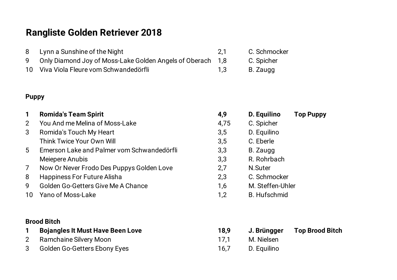# **Rangliste Golden Retriever 2018**

- 8 Lynn a Sunshine of the Night 2,1 C. Schmocker
- 9 Only Diamond Joy of Moss-Lake Golden Angels of Oberach 1,8 C. Spicher
- 10 Viva Viola Fleure vom Schwandedörfli 1,3 B. Zaugg

### **Puppy**

**1 Romida's Team Spirit 4,9 D. Equilino Top Puppy** 2 You And me Melina of Moss-Lake 4,75 C. Spicher 3 Romida's Touch My Heart 3,5 D. Equilino Think Twice Your Own Will **1999** C. Eberle 5 Emerson Lake and Palmer vom Schwandedörfli 3,3 B. Zaugg Meiepere Anubis 2,3 R. Rohrbach 7 Now Or Never Frodo Des Puppys Golden Love 2,7 N.Suter 8 Happiness For Future Alisha 2,3 C. Schmocker 9 Golden Go-Getters Give Me A Chance 1,6 M. Steffen-Uhler 10 Yano of Moss-Lake 1,2 B. Hufschmid

### **Brood Bitch**

|   | <b>Bojangles It Must Have Been Love</b> | 18,9 | J. Brüngger | <b>Top Brood Bitch</b> |
|---|-----------------------------------------|------|-------------|------------------------|
| 2 | Ramchaine Silvery Moon                  | 17.1 | M. Nielsen  |                        |
|   | 3 Golden Go-Getters Ebony Eyes          | 16.7 | D. Equilino |                        |